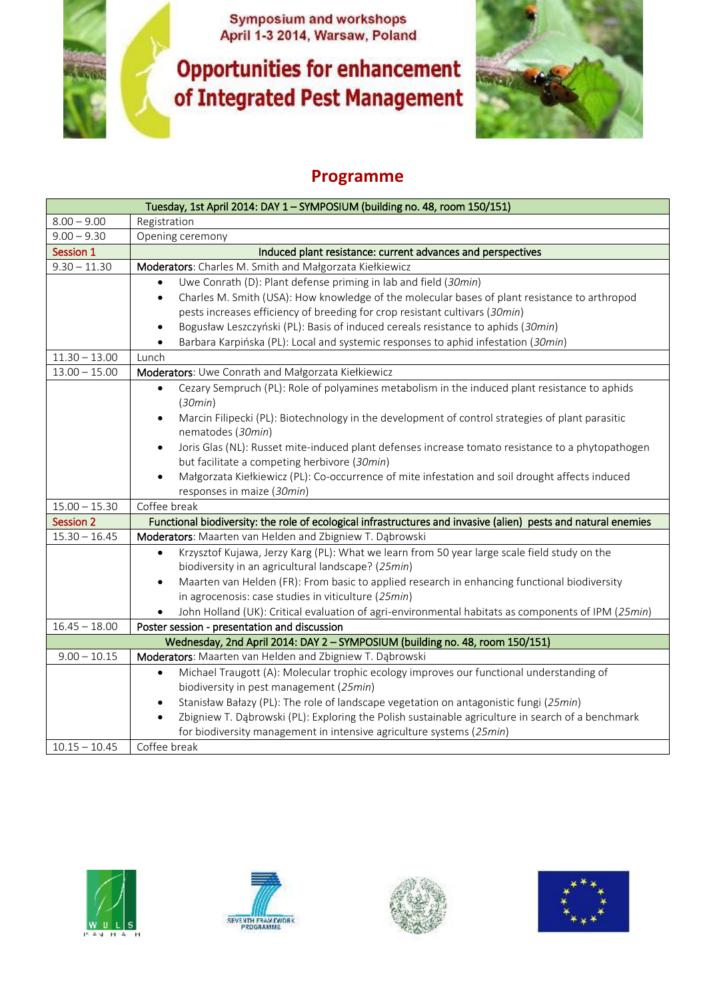**Symposium and workshops<br>April 1-3 2014, Warsaw, Poland** 

**Opportunities for enhancement** of Integrated Pest Management



## **Programme**

| Tuesday, 1st April 2014: DAY 1 - SYMPOSIUM (building no. 48, room 150/151)   |                                                                                                                |  |
|------------------------------------------------------------------------------|----------------------------------------------------------------------------------------------------------------|--|
| $8.00 - 9.00$                                                                | Registration                                                                                                   |  |
| $9.00 - 9.30$                                                                | Opening ceremony                                                                                               |  |
| Session 1                                                                    | Induced plant resistance: current advances and perspectives                                                    |  |
| $9.30 - 11.30$                                                               | Moderators: Charles M. Smith and Małgorzata Kiełkiewicz                                                        |  |
|                                                                              | Uwe Conrath (D): Plant defense priming in lab and field (30min)                                                |  |
|                                                                              | Charles M. Smith (USA): How knowledge of the molecular bases of plant resistance to arthropod<br>$\bullet$     |  |
|                                                                              | pests increases efficiency of breeding for crop resistant cultivars (30min)                                    |  |
|                                                                              | Bogusław Leszczyński (PL): Basis of induced cereals resistance to aphids (30min)<br>$\bullet$                  |  |
|                                                                              | Barbara Karpińska (PL): Local and systemic responses to aphid infestation (30min)                              |  |
| $11.30 - 13.00$                                                              | Lunch                                                                                                          |  |
| $13.00 - 15.00$                                                              | Moderators: Uwe Conrath and Małgorzata Kiełkiewicz                                                             |  |
|                                                                              | Cezary Sempruch (PL): Role of polyamines metabolism in the induced plant resistance to aphids<br>$\bullet$     |  |
|                                                                              | (30min)                                                                                                        |  |
|                                                                              | Marcin Filipecki (PL): Biotechnology in the development of control strategies of plant parasitic<br>$\bullet$  |  |
|                                                                              | nematodes (30min)                                                                                              |  |
|                                                                              | Joris Glas (NL): Russet mite-induced plant defenses increase tomato resistance to a phytopathogen<br>$\bullet$ |  |
|                                                                              | but facilitate a competing herbivore (30min)                                                                   |  |
|                                                                              | Małgorzata Kiełkiewicz (PL): Co-occurrence of mite infestation and soil drought affects induced<br>$\bullet$   |  |
|                                                                              | responses in maize (30min)                                                                                     |  |
| $15.00 - 15.30$                                                              | Coffee break                                                                                                   |  |
| <b>Session 2</b>                                                             | Functional biodiversity: the role of ecological infrastructures and invasive (alien) pests and natural enemies |  |
| $15.30 - 16.45$                                                              | Moderators: Maarten van Helden and Zbigniew T. Dąbrowski                                                       |  |
|                                                                              | Krzysztof Kujawa, Jerzy Karg (PL): What we learn from 50 year large scale field study on the<br>$\bullet$      |  |
|                                                                              | biodiversity in an agricultural landscape? (25min)                                                             |  |
|                                                                              | Maarten van Helden (FR): From basic to applied research in enhancing functional biodiversity<br>$\bullet$      |  |
|                                                                              | in agrocenosis: case studies in viticulture (25min)                                                            |  |
|                                                                              | John Holland (UK): Critical evaluation of agri-environmental habitats as components of IPM (25min)             |  |
| $16.45 - 18.00$                                                              | Poster session - presentation and discussion                                                                   |  |
| Wednesday, 2nd April 2014: DAY 2 - SYMPOSIUM (building no. 48, room 150/151) |                                                                                                                |  |
| $9.00 - 10.15$                                                               | Moderators: Maarten van Helden and Zbigniew T. Dąbrowski                                                       |  |
|                                                                              | Michael Traugott (A): Molecular trophic ecology improves our functional understanding of<br>$\bullet$          |  |
|                                                                              | biodiversity in pest management (25min)                                                                        |  |
|                                                                              | Stanisław Bałazy (PL): The role of landscape vegetation on antagonistic fungi (25min)<br>$\bullet$             |  |
|                                                                              | Zbigniew T. Dąbrowski (PL): Exploring the Polish sustainable agriculture in search of a benchmark<br>$\bullet$ |  |
|                                                                              | for biodiversity management in intensive agriculture systems (25min)                                           |  |
| $10.15 - 10.45$                                                              | Coffee break                                                                                                   |  |







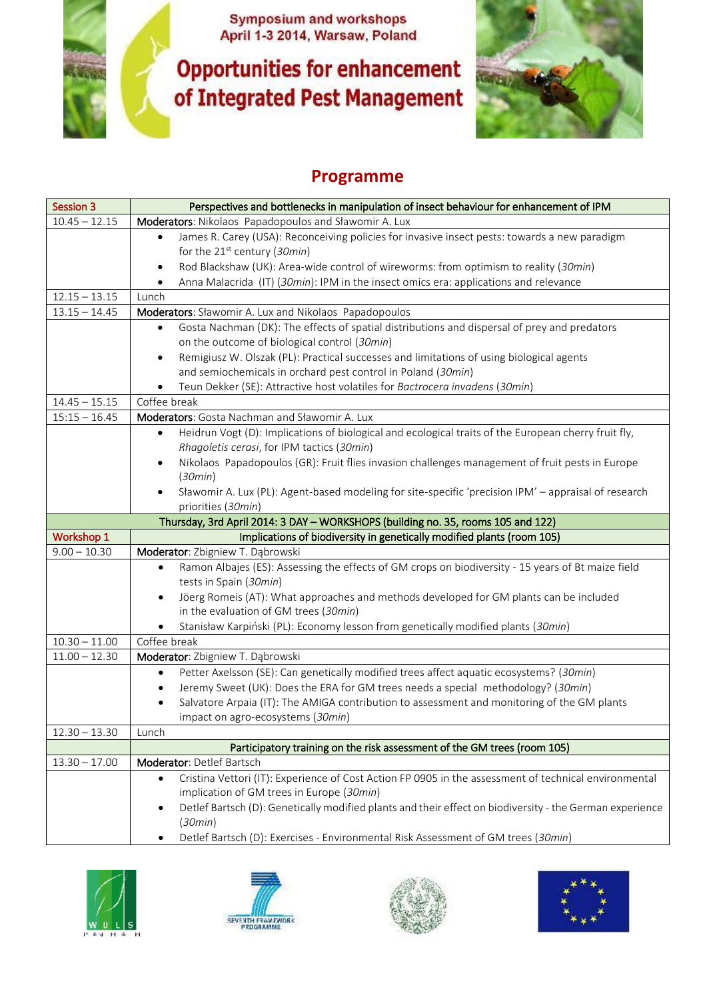**Symposium and workshops<br>April 1-3 2014, Warsaw, Poland** 

**Opportunities for enhancement** of Integrated Pest Management



## **Programme**

| <b>Session 3</b>                   | Perspectives and bottlenecks in manipulation of insect behaviour for enhancement of IPM                                                            |
|------------------------------------|----------------------------------------------------------------------------------------------------------------------------------------------------|
| $10.45 - 12.15$                    | Moderators: Nikolaos Papadopoulos and Sławomir A. Lux                                                                                              |
|                                    | James R. Carey (USA): Reconceiving policies for invasive insect pests: towards a new paradigm<br>$\bullet$                                         |
|                                    | for the $21^{st}$ century (30min)                                                                                                                  |
|                                    | Rod Blackshaw (UK): Area-wide control of wireworms: from optimism to reality (30min)<br>٠                                                          |
|                                    | Anna Malacrida (IT) (30min): IPM in the insect omics era: applications and relevance                                                               |
| $12.15 - 13.15$                    | Lunch                                                                                                                                              |
| $13.15 - 14.45$                    | Moderators: Sławomir A. Lux and Nikolaos Papadopoulos                                                                                              |
|                                    | Gosta Nachman (DK): The effects of spatial distributions and dispersal of prey and predators<br>$\bullet$                                          |
|                                    | on the outcome of biological control (30min)                                                                                                       |
|                                    | Remigiusz W. Olszak (PL): Practical successes and limitations of using biological agents<br>$\bullet$                                              |
|                                    | and semiochemicals in orchard pest control in Poland (30min)                                                                                       |
|                                    | Teun Dekker (SE): Attractive host volatiles for Bactrocera invadens (30min)                                                                        |
| $14.45 - 15.15$                    | Coffee break                                                                                                                                       |
| $15:15 - 16.45$                    | Moderators: Gosta Nachman and Sławomir A. Lux                                                                                                      |
|                                    | Heidrun Vogt (D): Implications of biological and ecological traits of the European cherry fruit fly,<br>Rhagoletis cerasi, for IPM tactics (30min) |
|                                    | Nikolaos Papadopoulos (GR): Fruit flies invasion challenges management of fruit pests in Europe<br>$\bullet$                                       |
|                                    | (30min)                                                                                                                                            |
|                                    | Sławomir A. Lux (PL): Agent-based modeling for site-specific 'precision IPM' - appraisal of research<br>$\bullet$                                  |
|                                    | priorities (30min)                                                                                                                                 |
|                                    | Thursday, 3rd April 2014: 3 DAY - WORKSHOPS (building no. 35, rooms 105 and 122)                                                                   |
| Workshop 1                         | Implications of biodiversity in genetically modified plants (room 105)                                                                             |
| $9.00 - 10.30$                     | Moderator: Zbigniew T. Dąbrowski                                                                                                                   |
|                                    | Ramon Albajes (ES): Assessing the effects of GM crops on biodiversity - 15 years of Bt maize field<br>$\bullet$                                    |
|                                    | tests in Spain (30min)                                                                                                                             |
|                                    | Jöerg Romeis (AT): What approaches and methods developed for GM plants can be included<br>$\bullet$                                                |
|                                    | in the evaluation of GM trees (30min)                                                                                                              |
|                                    | Stanisław Karpiński (PL): Economy lesson from genetically modified plants (30min)<br>Coffee break                                                  |
| $10.30 - 11.00$<br>$11.00 - 12.30$ |                                                                                                                                                    |
|                                    | Moderator: Zbigniew T. Dąbrowski                                                                                                                   |
|                                    | Petter Axelsson (SE): Can genetically modified trees affect aquatic ecosystems? (30min)<br>$\bullet$                                               |
|                                    | Jeremy Sweet (UK): Does the ERA for GM trees needs a special methodology? (30min)                                                                  |
|                                    | Salvatore Arpaia (IT): The AMIGA contribution to assessment and monitoring of the GM plants                                                        |
|                                    | impact on agro-ecosystems (30min)                                                                                                                  |
| 12.30 – 13.30                      | Lunch<br>Participatory training on the risk assessment of the GM trees (room 105)                                                                  |
| $13.30 - 17.00$                    | Moderator: Detlef Bartsch                                                                                                                          |
|                                    | Cristina Vettori (IT): Experience of Cost Action FP 0905 in the assessment of technical environmental<br>$\bullet$                                 |
|                                    | implication of GM trees in Europe (30min)                                                                                                          |
|                                    | Detlef Bartsch (D): Genetically modified plants and their effect on biodiversity - the German experience                                           |
|                                    | (30min)                                                                                                                                            |
|                                    | Detlef Bartsch (D): Exercises - Environmental Risk Assessment of GM trees (30min)                                                                  |
|                                    |                                                                                                                                                    |